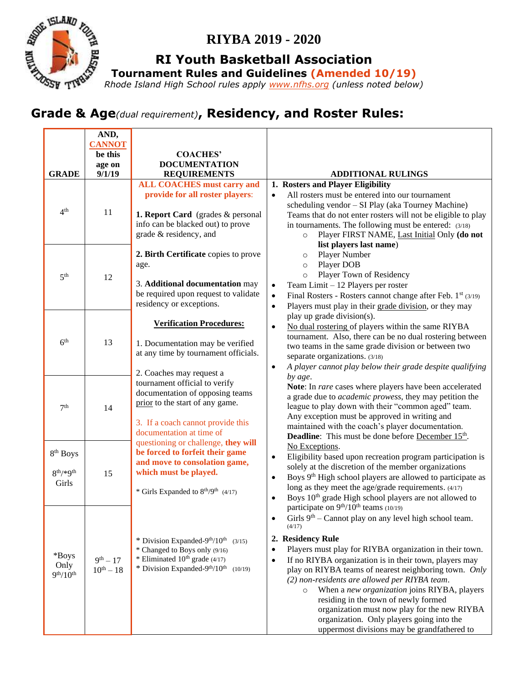

# **RIYBA 2019 - 2020**

**RI Youth Basketball Association**

**Tournament Rules and Guidelines (Amended 10/19)**

*Rhode Island High School rules apply [www.nfhs.org](http://www.nfhs.org/) (unless noted below)* 

# **Grade & Age***(dual requirement)***, Residency, and Roster Rules:**

|                                     | AND,           |                                                                |                                                                                      |
|-------------------------------------|----------------|----------------------------------------------------------------|--------------------------------------------------------------------------------------|
|                                     | <b>CANNOT</b>  |                                                                |                                                                                      |
|                                     | be this        | <b>COACHES'</b>                                                |                                                                                      |
|                                     | age on         | <b>DOCUMENTATION</b>                                           |                                                                                      |
| <b>GRADE</b>                        | 9/1/19         | <b>REQUIREMENTS</b>                                            | <b>ADDITIONAL RULINGS</b>                                                            |
| 4 <sup>th</sup>                     |                | <b>ALL COACHES must carry and</b>                              | 1. Rosters and Player Eligibility                                                    |
|                                     | 11             | provide for all roster players:                                | All rosters must be entered into our tournament<br>$\bullet$                         |
|                                     |                |                                                                | scheduling vendor - SI Play (aka Tourney Machine)                                    |
|                                     |                | 1. Report Card (grades & personal                              | Teams that do not enter rosters will not be eligible to play                         |
|                                     |                | info can be blacked out) to prove                              | in tournaments. The following must be entered: (3/18)                                |
|                                     |                | grade & residency, and                                         | Player FIRST NAME, Last Initial Only (do not<br>$\circ$                              |
| 5 <sup>th</sup>                     | 12             |                                                                | list players last name)                                                              |
|                                     |                | 2. Birth Certificate copies to prove                           | Player Number<br>$\circ$                                                             |
|                                     |                | age.                                                           | Player DOB<br>$\circ$                                                                |
|                                     |                |                                                                | Player Town of Residency<br>$\circ$                                                  |
|                                     |                | 3. Additional documentation may                                | Team Limit - 12 Players per roster<br>$\bullet$                                      |
|                                     |                | be required upon request to validate                           | Final Rosters - Rosters cannot change after Feb. 1 <sup>st</sup> (3/19)<br>$\bullet$ |
|                                     |                | residency or exceptions.                                       | Players must play in their grade division, or they may<br>$\bullet$                  |
| 6 <sup>th</sup>                     | 13             |                                                                | play up grade division(s).                                                           |
|                                     |                | <b>Verification Procedures:</b>                                | No dual rostering of players within the same RIYBA<br>$\bullet$                      |
|                                     |                | 1. Documentation may be verified                               | tournament. Also, there can be no dual rostering between                             |
|                                     |                | at any time by tournament officials.                           | two teams in the same grade division or between two                                  |
|                                     |                |                                                                | separate organizations. (3/18)                                                       |
|                                     |                | 2. Coaches may request a                                       | A player cannot play below their grade despite qualifying<br>$\bullet$               |
|                                     | 14             | tournament official to verify                                  | by age.                                                                              |
|                                     |                | documentation of opposing teams                                | Note: In rare cases where players have been accelerated                              |
|                                     |                | prior to the start of any game.                                | a grade due to <i>academic prowess</i> , they may petition the                       |
| 7 <sup>th</sup>                     |                |                                                                | league to play down with their "common aged" team.                                   |
|                                     |                | 3. If a coach cannot provide this                              | Any exception must be approved in writing and                                        |
|                                     |                | documentation at time of                                       | maintained with the coach's player documentation.                                    |
|                                     |                | questioning or challenge, they will                            | <b>Deadline:</b> This must be done before December 15 <sup>th</sup> .                |
| 8 <sup>th</sup> Boys                | 15             | be forced to forfeit their game                                | No Exceptions.                                                                       |
|                                     |                | and move to consolation game,                                  | $\bullet$<br>Eligibility based upon recreation program participation is              |
| $8^{th}$ /*9 <sup>th</sup><br>Girls |                | which must be played.                                          | solely at the discretion of the member organizations                                 |
|                                     |                |                                                                | Boys 9 <sup>th</sup> High school players are allowed to participate as<br>$\bullet$  |
|                                     |                | * Girls Expanded to 8 <sup>th</sup> /9 <sup>th</sup> (4/17)    | long as they meet the age/grade requirements. (4/17)                                 |
|                                     |                |                                                                | Boys 10 <sup>th</sup> grade High school players are not allowed to<br>$\bullet$      |
| *Boys                               |                |                                                                | participate on 9 <sup>th</sup> /10 <sup>th</sup> teams (10/19)                       |
|                                     |                |                                                                | Girls $9th$ – Cannot play on any level high school team.<br>(4/17)                   |
|                                     |                |                                                                |                                                                                      |
|                                     |                | * Division Expanded-9 <sup>th</sup> /10 <sup>th</sup> $(3/15)$ | 2. Residency Rule                                                                    |
|                                     |                | * Changed to Boys only (9/16)                                  | Players must play for RIYBA organization in their town.<br>$\bullet$                 |
| Only                                | $9^{th} - 17$  | * Eliminated $10^{th}$ grade $(4/17)$                          | If no RIYBA organization is in their town, players may<br>$\bullet$                  |
| 9 <sup>th</sup> /10 <sup>th</sup>   | $10^{th} - 18$ | * Division Expanded- $9^{th}/10^{th}$ (10/19)                  | play on RIYBA teams of nearest neighboring town. Only                                |
|                                     |                |                                                                | (2) non-residents are allowed per RIYBA team.                                        |
|                                     |                |                                                                | When a new organization joins RIYBA, players<br>$\circ$                              |
|                                     |                |                                                                | residing in the town of newly formed                                                 |
|                                     |                |                                                                | organization must now play for the new RIYBA                                         |
|                                     |                |                                                                | organization. Only players going into the                                            |
|                                     |                |                                                                | uppermost divisions may be grandfathered to                                          |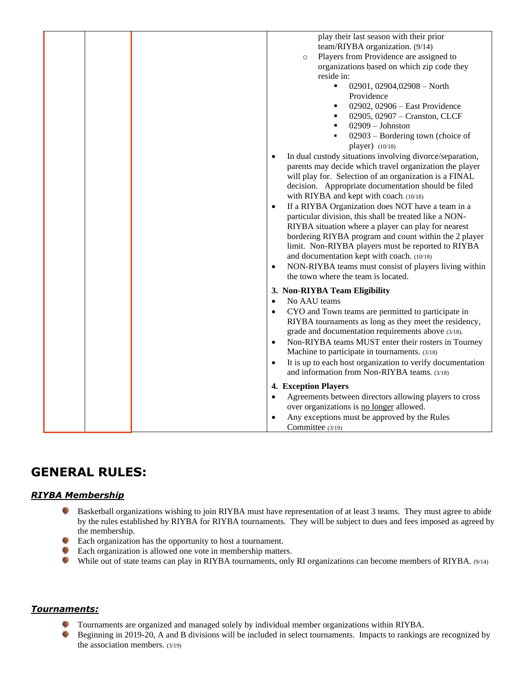| play their last season with their prior                                                                                 |
|-------------------------------------------------------------------------------------------------------------------------|
| team/RIYBA organization. (9/14)                                                                                         |
| Players from Providence are assigned to<br>$\circ$                                                                      |
| organizations based on which zip code they                                                                              |
| reside in:                                                                                                              |
| ٠<br>02901, 02904, 02908 - North                                                                                        |
| Providence                                                                                                              |
| 02902, 02906 - East Providence<br>٠                                                                                     |
| 02905, 02907 - Cranston, CLCF<br>٠                                                                                      |
| $02909 - Johnston$<br>$\blacksquare$                                                                                    |
| 02903 – Bordering town (choice of<br>$\blacksquare$<br>player) $(10/18)$                                                |
| In dual custody situations involving divorce/separation,<br>$\bullet$                                                   |
| parents may decide which travel organization the player                                                                 |
| will play for. Selection of an organization is a FINAL                                                                  |
| decision. Appropriate documentation should be filed                                                                     |
| with RIYBA and kept with coach. (10/18)                                                                                 |
| If a RIYBA Organization does NOT have a team in a<br>$\bullet$                                                          |
| particular division, this shall be treated like a NON-                                                                  |
| RIYBA situation where a player can play for nearest                                                                     |
| bordering RIYBA program and count within the 2 player                                                                   |
| limit. Non-RIYBA players must be reported to RIYBA                                                                      |
| and documentation kept with coach. (10/18)                                                                              |
| NON-RIYBA teams must consist of players living within<br>$\bullet$                                                      |
| the town where the team is located.                                                                                     |
| 3. Non-RIYBA Team Eligibility                                                                                           |
| No AAU teams<br>$\bullet$                                                                                               |
| CYO and Town teams are permitted to participate in                                                                      |
| RIYBA tournaments as long as they meet the residency,                                                                   |
| grade and documentation requirements above (3/18).                                                                      |
| Non-RIYBA teams MUST enter their rosters in Tourney<br>$\bullet$                                                        |
| Machine to participate in tournaments. (3/18)                                                                           |
| It is up to each host organization to verify documentation<br>$\bullet$<br>and information from Non-RIYBA teams. (3/18) |
| 4. Exception Players                                                                                                    |
| Agreements between directors allowing players to cross<br>$\bullet$                                                     |
| over organizations is no longer allowed.                                                                                |
| Any exceptions must be approved by the Rules<br>$\bullet$                                                               |
|                                                                                                                         |
| Committee (3/19)                                                                                                        |

# **GENERAL RULES:**

### *RIYBA Membership*

- e. Basketball organizations wishing to join RIYBA must have representation of at least 3 teams. They must agree to abide by the rules established by RIYBA for RIYBA tournaments. They will be subject to dues and fees imposed as agreed by the membership.
- Each organization has the opportunity to host a tournament.
- Each organization is allowed one vote in membership matters.
- While out of state teams can play in RIYBA tournaments, only RI organizations can become members of RIYBA. (9/14)

#### *Tournaments:*

- Tournaments are organized and managed solely by individual member organizations within RIYBA. 5
- O Beginning in 2019-20, A and B divisions will be included in select tournaments. Impacts to rankings are recognized by the association members. (3/19)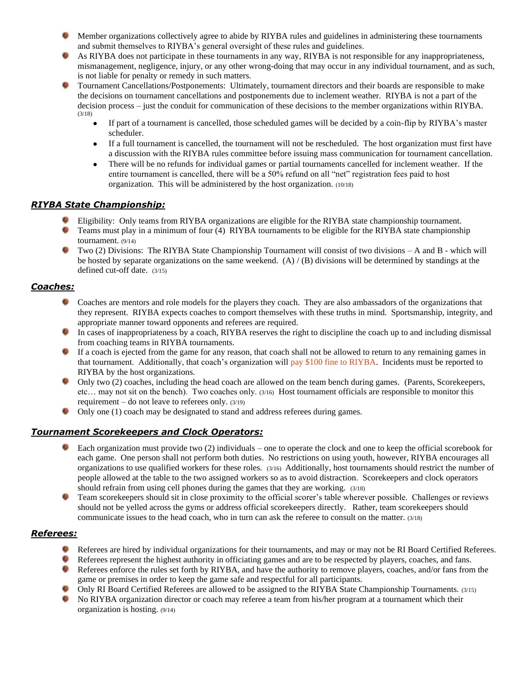- Member organizations collectively agree to abide by RIYBA rules and guidelines in administering these tournaments and submit themselves to RIYBA's general oversight of these rules and guidelines.
- As RIYBA does not participate in these tournaments in any way, RIYBA is not responsible for any inappropriateness, mismanagement, negligence, injury, or any other wrong-doing that may occur in any individual tournament, and as such, is not liable for penalty or remedy in such matters.
- Tournament Cancellations/Postponements: Ultimately, tournament directors and their boards are responsible to make the decisions on tournament cancellations and postponements due to inclement weather. RIYBA is not a part of the decision process – just the conduit for communication of these decisions to the member organizations within RIYBA. (3/18)
	- If part of a tournament is cancelled, those scheduled games will be decided by a coin-flip by RIYBA's master scheduler.
	- If a full tournament is cancelled, the tournament will not be rescheduled. The host organization must first have a discussion with the RIYBA rules committee before issuing mass communication for tournament cancellation.
	- There will be no refunds for individual games or partial tournaments cancelled for inclement weather. If the entire tournament is cancelled, there will be a 50% refund on all "net" registration fees paid to host organization. This will be administered by the host organization. (10/18)

# *RIYBA State Championship:*

- Eligibility: Only teams from RIYBA organizations are eligible for the RIYBA state championship tournament.
- 5 Teams must play in a minimum of four (4) RIYBA tournaments to be eligible for the RIYBA state championship tournament. (9/14)
- Two (2) Divisions: The RIYBA State Championship Tournament will consist of two divisions A and B which will be hosted by separate organizations on the same weekend. (A) / (B) divisions will be determined by standings at the defined cut-off date. (3/15)

# *Coaches:*

- Coaches are mentors and role models for the players they coach. They are also ambassadors of the organizations that they represent. RIYBA expects coaches to comport themselves with these truths in mind. Sportsmanship, integrity, and appropriate manner toward opponents and referees are required.
- In cases of inappropriateness by a coach, RIYBA reserves the right to discipline the coach up to and including dismissal from coaching teams in RIYBA tournaments.
- If a coach is ejected from the game for any reason, that coach shall not be allowed to return to any remaining games in that tournament. Additionally, that coach's organization will pay \$100 fine to RIYBA. Incidents must be reported to RIYBA by the host organizations.
- Only two (2) coaches, including the head coach are allowed on the team bench during games. (Parents, Scorekeepers, etc… may not sit on the bench). Two coaches only. (3/16) Host tournament officials are responsible to monitor this requirement – do not leave to referees only.  $(3/19)$
- Only one (1) coach may be designated to stand and address referees during games.

# *Tournament Scorekeepers and Clock Operators:*

- Each organization must provide two (2) individuals one to operate the clock and one to keep the official scorebook for each game. One person shall not perform both duties. No restrictions on using youth, however, RIYBA encourages all organizations to use qualified workers for these roles. (3/16) Additionally, host tournaments should restrict the number of people allowed at the table to the two assigned workers so as to avoid distraction. Scorekeepers and clock operators should refrain from using cell phones during the games that they are working. (3/18)
- Team scorekeepers should sit in close proximity to the official scorer's table wherever possible. Challenges or reviews should not be yelled across the gyms or address official scorekeepers directly. Rather, team scorekeepers should communicate issues to the head coach, who in turn can ask the referee to consult on the matter. (3/18)

### *Referees:*

- Referees are hired by individual organizations for their tournaments, and may or may not be RI Board Certified Referees.
- Referees represent the highest authority in officiating games and are to be respected by players, coaches, and fans.
- Referees enforce the rules set forth by RIYBA, and have the authority to remove players, coaches, and/or fans from the  $-51$ game or premises in order to keep the game safe and respectful for all participants.
- Only RI Board Certified Referees are allowed to be assigned to the RIYBA State Championship Tournaments. (3/15)
- No RIYBA organization director or coach may referee a team from his/her program at a tournament which their organization is hosting. (9/14)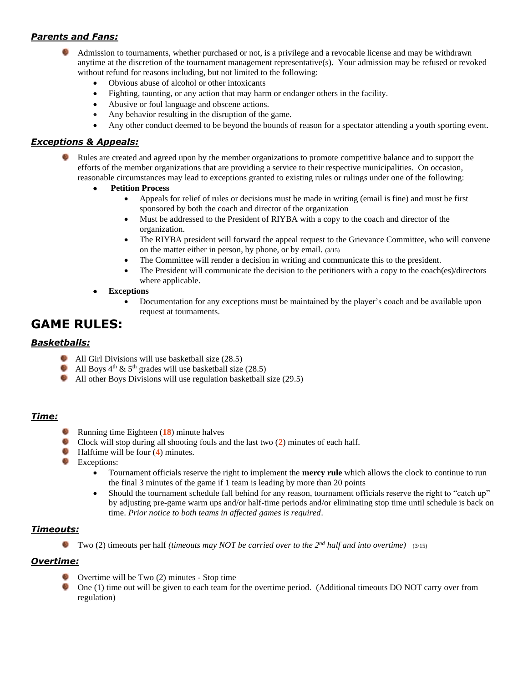# *Parents and Fans:*

- Admission to tournaments, whether purchased or not, is a privilege and a revocable license and may be withdrawn anytime at the discretion of the tournament management representative(s). Your admission may be refused or revoked without refund for reasons including, but not limited to the following:
	- Obvious abuse of alcohol or other intoxicants
	- Fighting, taunting, or any action that may harm or endanger others in the facility.
	- Abusive or foul language and obscene actions.
	- Any behavior resulting in the disruption of the game.
	- Any other conduct deemed to be beyond the bounds of reason for a spectator attending a youth sporting event.

## *Exceptions & Appeals:*

- Rules are created and agreed upon by the member organizations to promote competitive balance and to support the efforts of the member organizations that are providing a service to their respective municipalities. On occasion, reasonable circumstances may lead to exceptions granted to existing rules or rulings under one of the following:
	- **Petition Process**
		- Appeals for relief of rules or decisions must be made in writing (email is fine) and must be first sponsored by both the coach and director of the organization
		- Must be addressed to the President of RIYBA with a copy to the coach and director of the organization.
		- The RIYBA president will forward the appeal request to the Grievance Committee, who will convene on the matter either in person, by phone, or by email. (3/15)
		- The Committee will render a decision in writing and communicate this to the president.
		- The President will communicate the decision to the petitioners with a copy to the coach(es)/directors where applicable.
	- **Exceptions**
		- Documentation for any exceptions must be maintained by the player's coach and be available upon request at tournaments.

# **GAME RULES:**

#### *Basketballs:*

- All Girl Divisions will use basketball size (28.5)
- 6 All Boys  $4<sup>th</sup>$  &  $5<sup>th</sup>$  grades will use basketball size (28.5)
- All other Boys Divisions will use regulation basketball size (29.5)

### *Time:*

- Running time Eighteen (**18**) minute halves
- Clock will stop during all shooting fouls and the last two (**2**) minutes of each half.
- Halftime will be four (**4**) minutes.
- **Exceptions:** 
	- Tournament officials reserve the right to implement the **mercy rule** which allows the clock to continue to run the final 3 minutes of the game if 1 team is leading by more than 20 points
	- Should the tournament schedule fall behind for any reason, tournament officials reserve the right to "catch up" by adjusting pre-game warm ups and/or half-time periods and/or eliminating stop time until schedule is back on time. *Prior notice to both teams in affected games is required*.

### *Timeouts:*

Two (2) timeouts per half *(timeouts may NOT be carried over to the 2nd half and into overtime)* (3/15)

### *Overtime:*

- Overtime will be Two (2) minutes Stop time
- One (1) time out will be given to each team for the overtime period. (Additional timeouts DO NOT carry over from regulation)